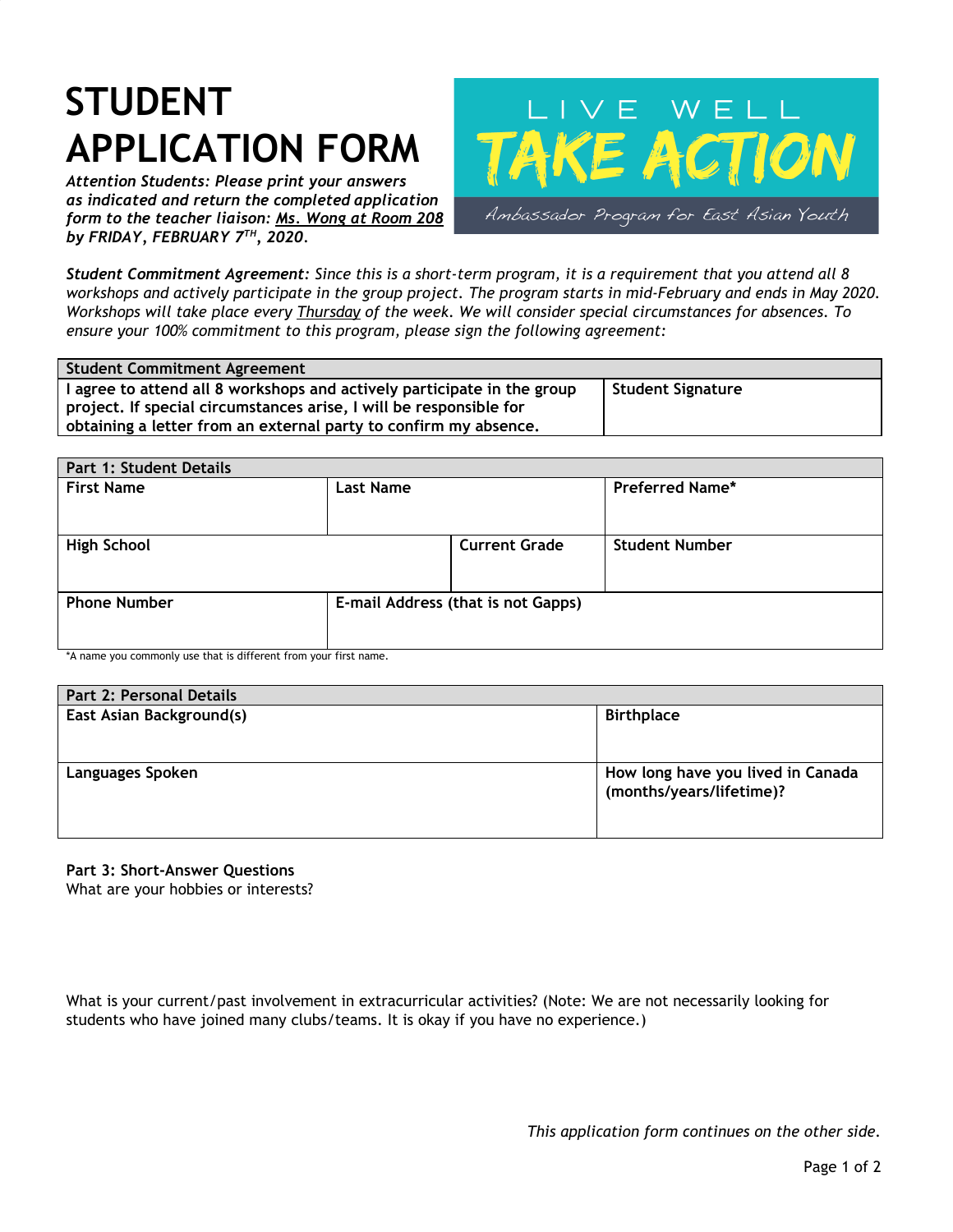## **STUDENT APPLICATION FORM**

*Attention Students: Please print your answers as indicated and return the completed application form to the teacher liaison: Ms. Wong at Room 208 by FRIDAY, FEBRUARY 7 TH , 2020.*



Student Commitment Agreement: Since this is a short-term program, it is a requirement that you attend all 8 workshops and actively participate in the group project. The program starts in mid-February and ends in May 2020. Workshops will take place every Thursday of the week. We will consider special circumstances for absences. To *ensure your 100% commitment to this program, please sign the following agreement:*

| <b>Student Commitment Agreement</b>                                     |                   |
|-------------------------------------------------------------------------|-------------------|
| I agree to attend all 8 workshops and actively participate in the group | Student Signature |
| project. If special circumstances arise, I will be responsible for      |                   |
| obtaining a letter from an external party to confirm my absence.        |                   |

| Part 1: Student Details |                                    |                      |                        |  |  |
|-------------------------|------------------------------------|----------------------|------------------------|--|--|
| <b>First Name</b>       | <b>Last Name</b>                   |                      | <b>Preferred Name*</b> |  |  |
| <b>High School</b>      |                                    | <b>Current Grade</b> | <b>Student Number</b>  |  |  |
| <b>Phone Number</b>     | E-mail Address (that is not Gapps) |                      |                        |  |  |

\*A name you commonly use that is different from your first name.

| <b>Part 2: Personal Details</b> |                                                               |
|---------------------------------|---------------------------------------------------------------|
| East Asian Background(s)        | <b>Birthplace</b>                                             |
| <b>Languages Spoken</b>         | How long have you lived in Canada<br>(months/years/lifetime)? |

**Part 3: Short-Answer Questions**

What are your hobbies or interests?

What is your current/past involvement in extracurricular activities? (Note: We are not necessarily looking for students who have joined many clubs/teams. It is okay if you have no experience.)